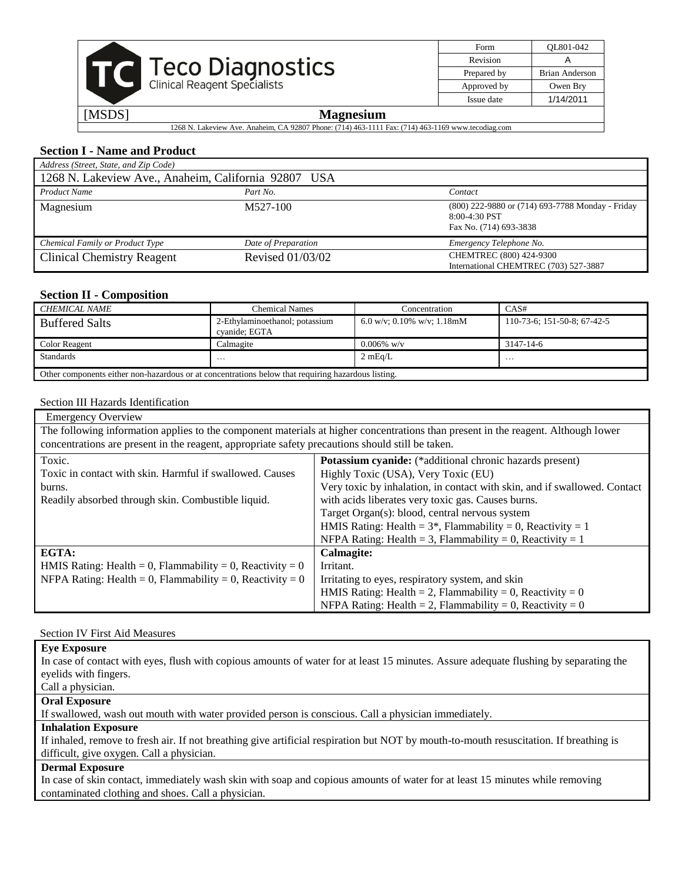|  | <b>Teco Diagnostics</b><br>Clinical Reagent Specialists |
|--|---------------------------------------------------------|
|  |                                                         |

| Form        | OL801-042      |
|-------------|----------------|
| Revision    |                |
| Prepared by | Brian Anderson |
| Approved by | Owen Bry       |
| Issue date  | 1/14/2011      |
|             |                |

1268 N. Lakeview Ave. Anaheim, CA 92807 Phone: (714) 463-1111 Fax: (714) 463-1169 www.tecodiag.com

# **Section I - Name and Product**

| Address (Street, State, and Zip Code)                |                     |                                                                                               |  |  |
|------------------------------------------------------|---------------------|-----------------------------------------------------------------------------------------------|--|--|
| 1268 N. Lakeview Ave., Anaheim, California 92807 USA |                     |                                                                                               |  |  |
| <b>Product Name</b><br>Part No.<br>Contact           |                     |                                                                                               |  |  |
| Magnesium                                            | M527-100            | (800) 222-9880 or (714) 693-7788 Monday - Friday<br>$8:00-4:30$ PST<br>Fax No. (714) 693-3838 |  |  |
| Chemical Family or Product Type                      | Date of Preparation | Emergency Telephone No.                                                                       |  |  |
| <b>Clinical Chemistry Reagent</b>                    | Revised 01/03/02    | CHEMTREC (800) 424-9300<br>International CHEMTREC (703) 527-3887                              |  |  |

# **Section II - Composition**

| CHEMICAL NAME                                                                                      | Chemical Names                                  | Concentration              | CAS#                        |
|----------------------------------------------------------------------------------------------------|-------------------------------------------------|----------------------------|-----------------------------|
| <b>Buffered Salts</b>                                                                              | 2-Ethylaminoethanol; potassium<br>cvanide: EGTA | 6.0 w/v; 0.10% w/v; 1.18mM | 110-73-6; 151-50-8; 67-42-5 |
| Color Reagent                                                                                      | Calmagite                                       | $0.006\%$ w/v              | 3147-14-6                   |
| <b>Standards</b><br>2 mEq/L<br>$\cdots$<br>$\ddotsc$                                               |                                                 |                            |                             |
| Other components either non-hazardous or at concentrations below that requiring hazardous listing. |                                                 |                            |                             |

#### Section III Hazards Identification

| <b>Emergency Overview</b>                                                                                                         |                                                                           |  |
|-----------------------------------------------------------------------------------------------------------------------------------|---------------------------------------------------------------------------|--|
| The following information applies to the component materials at higher concentrations than present in the reagent. Although lower |                                                                           |  |
| concentrations are present in the reagent, appropriate safety precautions should still be taken.                                  |                                                                           |  |
| Toxic.                                                                                                                            | Potassium cyanide: (*additional chronic hazards present)                  |  |
| Toxic in contact with skin. Harmful if swallowed. Causes                                                                          | Highly Toxic (USA), Very Toxic (EU)                                       |  |
| burns.                                                                                                                            | Very toxic by inhalation, in contact with skin, and if swallowed. Contact |  |
| with acids liberates very toxic gas. Causes burns.<br>Readily absorbed through skin. Combustible liquid.                          |                                                                           |  |
|                                                                                                                                   | Target Organ(s): blood, central nervous system                            |  |
|                                                                                                                                   | HMIS Rating: Health = $3^*$ , Flammability = 0, Reactivity = 1            |  |
|                                                                                                                                   | NFPA Rating: Health = 3, Flammability = 0, Reactivity = 1                 |  |
| EGTA:<br>Calmagite:                                                                                                               |                                                                           |  |
| HMIS Rating: Health = 0, Flammability = 0, Reactivity = 0                                                                         | Irritant.                                                                 |  |
| NFPA Rating: Health = 0, Flammability = 0, Reactivity = 0<br>Irritating to eyes, respiratory system, and skin                     |                                                                           |  |
|                                                                                                                                   | HMIS Rating: Health = 2, Flammability = 0, Reactivity = 0                 |  |
|                                                                                                                                   | NFPA Rating: Health = 2, Flammability = 0, Reactivity = 0                 |  |

#### Section IV First Aid Measures

### **Eye Exposure**

In case of contact with eyes, flush with copious amounts of water for at least 15 minutes. Assure adequate flushing by separating the eyelids with fingers.

Call a physician.

# **Oral Exposure**

If swallowed, wash out mouth with water provided person is conscious. Call a physician immediately.

### **Inhalation Exposure**

If inhaled, remove to fresh air. If not breathing give artificial respiration but NOT by mouth-to-mouth resuscitation. If breathing is difficult, give oxygen. Call a physician.

#### **Dermal Exposure**

In case of skin contact, immediately wash skin with soap and copious amounts of water for at least 15 minutes while removing contaminated clothing and shoes. Call a physician.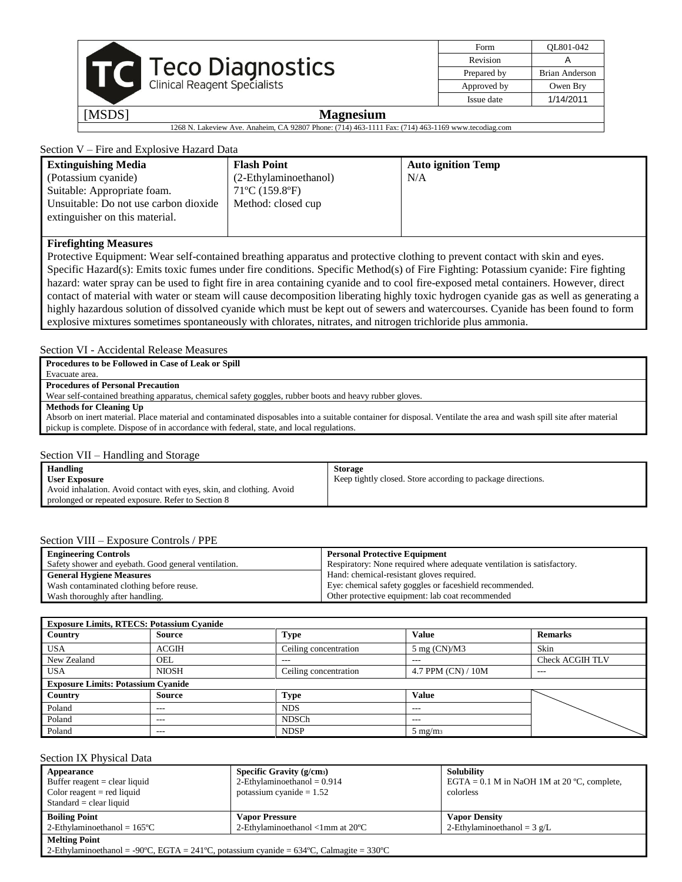| Form        | OL801-042      |
|-------------|----------------|
| Revision    |                |
| Prepared by | Brian Anderson |
| Approved by | Owen Bry       |
| Issue date  | 1/14/2011      |

1268 N. Lakeview Ave. Anaheim, CA 92807 Phone: (714) 463-1111 Fax: (714) 463-1169 www.tecodiag.com

### Section V – Fire and Explosive Hazard Data

| <b>Extinguishing Media</b>            | <b>Flash Point</b>                  | <b>Auto ignition Temp</b> |
|---------------------------------------|-------------------------------------|---------------------------|
| (Potassium cyanide)                   | (2-Ethylaminoethanol)               | N/A                       |
| Suitable: Appropriate foam.           | $71^{\circ}$ C (159.8 $^{\circ}$ F) |                           |
| Unsuitable: Do not use carbon dioxide | Method: closed cup                  |                           |
| extinguisher on this material.        |                                     |                           |
|                                       |                                     |                           |

### **Firefighting Measures**

Protective Equipment: Wear self-contained breathing apparatus and protective clothing to prevent contact with skin and eyes. Specific Hazard(s): Emits toxic fumes under fire conditions. Specific Method(s) of Fire Fighting: Potassium cyanide: Fire fighting hazard: water spray can be used to fight fire in area containing cyanide and to cool fire-exposed metal containers. However, direct contact of material with water or steam will cause decomposition liberating highly toxic hydrogen cyanide gas as well as generating a highly hazardous solution of dissolved cyanide which must be kept out of sewers and watercourses. Cyanide has been found to form explosive mixtures sometimes spontaneously with chlorates, nitrates, and nitrogen trichloride plus ammonia.

### Section VI - Accidental Release Measures

**Procedures to be Followed in Case of Leak or Spill**

Evacuate area.

#### **Procedures of Personal Precaution**

Wear self-contained breathing apparatus, chemical safety goggles, rubber boots and heavy rubber gloves.

**Methods for Cleaning Up**

Absorb on inert material. Place material and contaminated disposables into a suitable container for disposal. Ventilate the area and wash spill site after material pickup is complete. Dispose of in accordance with federal, state, and local regulations.

#### Section VII – Handling and Storage

| Handling                                                             | <b>Storage</b>                                              |
|----------------------------------------------------------------------|-------------------------------------------------------------|
| <b>User Exposure</b>                                                 | Keep tightly closed. Store according to package directions. |
| Avoid inhalation. Avoid contact with eyes, skin, and clothing. Avoid |                                                             |
| prolonged or repeated exposure. Refer to Section 8                   |                                                             |

#### Section VIII – Exposure Controls / PPE

| <b>Engineering Controls</b>                          | <b>Personal Protective Equipment</b>                                   |
|------------------------------------------------------|------------------------------------------------------------------------|
| Safety shower and eyebath. Good general ventilation. | Respiratory: None required where adequate ventilation is satisfactory. |
| <b>General Hygiene Measures</b>                      | Hand: chemical-resistant gloves required.                              |
| Wash contaminated clothing before reuse.             | Eye: chemical safety goggles or faceshield recommended.                |
| Wash thoroughly after handling.                      | Other protective equipment: lab coat recommended                       |

| <b>Exposure Limits, RTECS: Potassium Cyanide</b> |                                           |                       |                               |                        |  |
|--------------------------------------------------|-------------------------------------------|-----------------------|-------------------------------|------------------------|--|
| Country                                          | Source                                    | <b>Type</b>           | <b>Value</b>                  | <b>Remarks</b>         |  |
| <b>USA</b>                                       | ACGIH                                     | Ceiling concentration | $5 \text{ mg (CN)}\text{/M3}$ | Skin                   |  |
| New Zealand                                      | OEL                                       | $---$                 | $---$                         | <b>Check ACGIH TLV</b> |  |
| <b>USA</b>                                       | <b>NIOSH</b>                              | Ceiling concentration | 4.7 PPM (CN) / 10M            | $---$                  |  |
|                                                  | <b>Exposure Limits: Potassium Cyanide</b> |                       |                               |                        |  |
| Country                                          | Source                                    | <b>Type</b>           | <b>Value</b>                  |                        |  |
| Poland                                           | $---$                                     | <b>NDS</b>            | $---$                         |                        |  |
| Poland                                           | $---$                                     | <b>NDSCh</b>          | $- - -$                       |                        |  |
| Poland                                           | $- - -$                                   | <b>NDSP</b>           | $5 \text{ mg/m}$              |                        |  |

#### Section IX Physical Data

| Appearance<br>Buffer reagent $=$ clear liquid<br>Color reagent $=$ red liquid<br>$Standard = clear liquid$ | Specific Gravity (g/cm <sub>3</sub> )<br>2-Ethylaminoethanol = $0.914$<br>potassium cyanide $= 1.52$ | Solubility<br>EGTA = $0.1$ M in NaOH 1M at 20 °C, complete,<br>colorless |  |  |
|------------------------------------------------------------------------------------------------------------|------------------------------------------------------------------------------------------------------|--------------------------------------------------------------------------|--|--|
| <b>Boiling Point</b>                                                                                       | <b>Vapor Pressure</b>                                                                                | <b>Vapor Density</b>                                                     |  |  |
| 2-Ethylaminoethanol = $165^{\circ}$ C                                                                      | 2-Ethylaminoethanol $\langle$ 1mm at 20 $\degree$ C                                                  | 2-Ethylaminoethanol = $3 \text{ g/L}$                                    |  |  |
| <b>Melting Point</b>                                                                                       |                                                                                                      |                                                                          |  |  |
| 2-Ethylaminoethanol = -90°C, EGTA = 241°C, potassium cyanide = $634$ °C, Calmagite = $330$ °C              |                                                                                                      |                                                                          |  |  |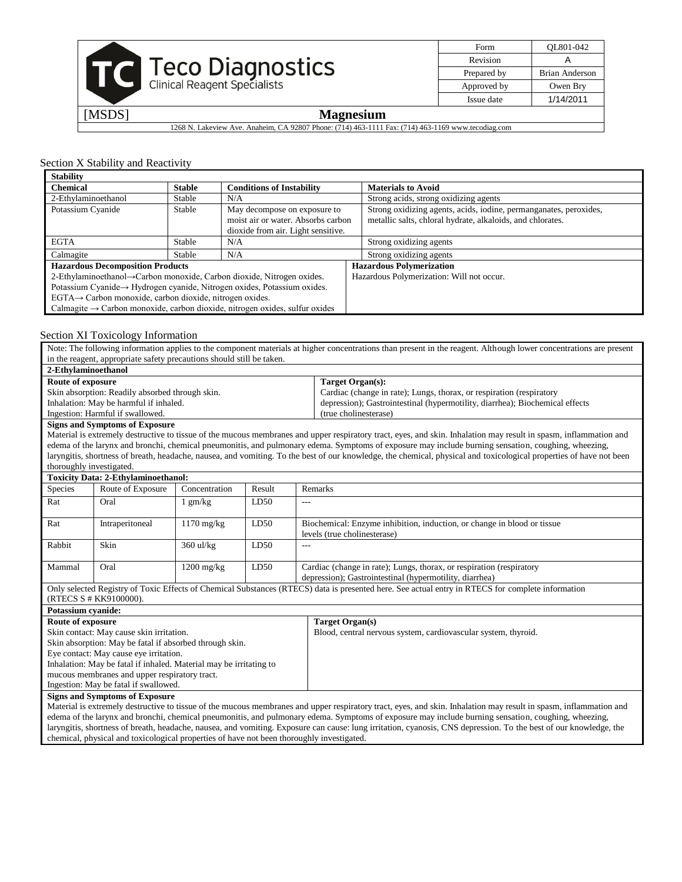

| Form        | OL801-042      |
|-------------|----------------|
| Revision    |                |
| Prepared by | Brian Anderson |
| Approved by | Owen Bry       |
| Issue date  | 1/14/2011      |

1268 N. Lakeview Ave. Anaheim, CA 92807 Phone: (714) 463-1111 Fax: (714) 463-1169 www.tecodiag.com

#### Section X Stability and Reactivity

| <b>Stability</b>                                                        |               |                                                                                         |                                                                   |
|-------------------------------------------------------------------------|---------------|-----------------------------------------------------------------------------------------|-------------------------------------------------------------------|
| <b>Chemical</b>                                                         | <b>Stable</b> | <b>Conditions of Instability</b>                                                        | <b>Materials to Avoid</b>                                         |
| 2-Ethylaminoethanol                                                     | Stable        | N/A                                                                                     | Strong acids, strong oxidizing agents                             |
| Potassium Cyanide                                                       | Stable        | May decompose on exposure to                                                            | Strong oxidizing agents, acids, iodine, permanganates, peroxides, |
|                                                                         |               | moist air or water. Absorbs carbon                                                      | metallic salts, chloral hydrate, alkaloids, and chlorates.        |
|                                                                         |               | dioxide from air. Light sensitive.                                                      |                                                                   |
| <b>EGTA</b>                                                             | Stable        | N/A                                                                                     | Strong oxidizing agents                                           |
| Calmagite                                                               | Stable        | N/A                                                                                     | Strong oxidizing agents                                           |
| <b>Hazardous Decomposition Products</b>                                 |               |                                                                                         | <b>Hazardous Polymerization</b>                                   |
| 2-Ethylaminoethanol→Carbon monoxide, Carbon dioxide, Nitrogen oxides.   |               |                                                                                         | Hazardous Polymerization: Will not occur.                         |
| Potassium Cyanide→ Hydrogen cyanide, Nitrogen oxides, Potassium oxides. |               |                                                                                         |                                                                   |
| $EGTA \rightarrow$ Carbon monoxide, carbon dioxide, nitrogen oxides.    |               |                                                                                         |                                                                   |
|                                                                         |               | Calmagite $\rightarrow$ Carbon monoxide, carbon dioxide, nitrogen oxides, sulfur oxides |                                                                   |
|                                                                         |               |                                                                                         |                                                                   |

#### Section XI Toxicology Information

Note: The following information applies to the component materials at higher concentrations than present in the reagent. Although lower concentrations are present in the reagent, appropriate safety precautions should still be taken. **2-Ethylaminoethanol Route of exposure** Skin absorption: Readily absorbed through skin. Inhalation: May be harmful if inhaled. Ingestion: Harmful if swallowed. **Target Organ(s):** Cardiac (change in rate); Lungs, thorax, or respiration (respiratory depression); Gastrointestinal (hypermotility, diarrhea); Biochemical effects (true cholinesterase) **Signs and Symptoms of Exposure** Material is extremely destructive to tissue of the mucous membranes and upper respiratory tract, eyes, and skin. Inhalation may result in spasm, inflammation and edema of the larynx and bronchi, chemical pneumonitis, and pulmonary edema. Symptoms of exposure may include burning sensation, coughing, wheezing, laryngitis, shortness of breath, headache, nausea, and vomiting. To the best of our knowledge, the chemical, physical and toxicological properties of have not been thoroughly investigated. **Toxicity Data: 2-Ethylaminoethanol:** Species Route of Exposure Concentration Result Remarks Rat Oral 1 gm/kg LD50 Rat Intraperitoneal 1170 mg/kg LD50 Biochemical: Enzyme inhibition, induction, or change in blood or tissue levels (true cholinesterase) Rabbit Skin 360 ul/kg LD50 Mammal Oral 1200 mg/kg LD50 Cardiac (change in rate); Lungs, thorax, or respiration (respiratory depression); Gastrointestinal (hypermotility, diarrhea) Only selected Registry of Toxic Effects of Chemical Substances (RTECS) data is presented here. See actual entry in RTECS for complete information (RTECS S # KK9100000). **Potassium cyanide: Route of exposure** Skin contact: May cause skin irritation. Skin absorption: May be fatal if absorbed through skin. Eye contact: May cause eye irritation. Inhalation: May be fatal if inhaled. Material may be irritating to mucous membranes and upper respiratory tract. Ingestion: May be fatal if swallowed. **Target Organ(s)** Blood, central nervous system, cardiovascular system, thyroid. **Signs and Symptoms of Exposure** Material is extremely destructive to tissue of the mucous membranes and upper respiratory tract, eyes, and skin. Inhalation may result in spasm, inflammation and edema of the larynx and bronchi, chemical pneumonitis, and pulmonary edema. Symptoms of exposure may include burning sensation, coughing, wheezing, laryngitis, shortness of breath, headache, nausea, and vomiting. Exposure can cause: lung irritation, cyanosis, CNS depression. To the best of our knowledge, the

chemical, physical and toxicological properties of have not been thoroughly investigated.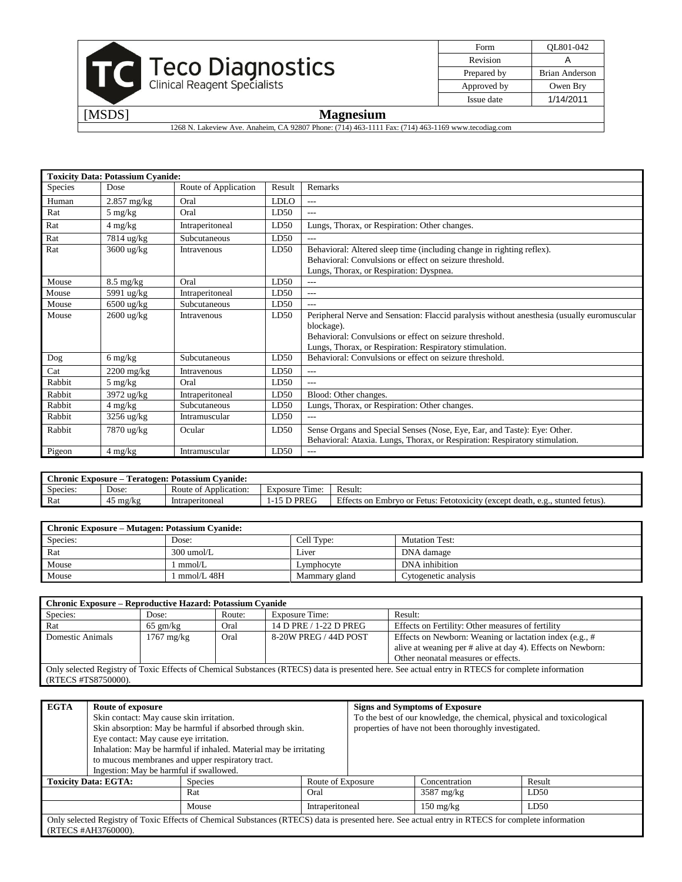

| Form        | OL801-042      |
|-------------|----------------|
| Revision    |                |
| Prepared by | Brian Anderson |
| Approved by | Owen Bry       |
| Issue date  | 1/14/2011      |
|             |                |

1268 N. Lakeview Ave. Anaheim, CA 92807 Phone: (714) 463-1111 Fax: (714) 463-1169 www.tecodiag.com

|         | <b>Toxicity Data: Potassium Cyanide:</b> |                      |             |                                                                                                                                                                                                                                |
|---------|------------------------------------------|----------------------|-------------|--------------------------------------------------------------------------------------------------------------------------------------------------------------------------------------------------------------------------------|
| Species | Dose                                     | Route of Application | Result      | Remarks                                                                                                                                                                                                                        |
| Human   | $2.857$ mg/kg                            | Oral                 | <b>LDLO</b> | $---$                                                                                                                                                                                                                          |
| Rat     | $5 \text{ mg/kg}$                        | Oral                 | LD50        | $---$                                                                                                                                                                                                                          |
| Rat     | $4 \text{ mg/kg}$                        | Intraperitoneal      | LD50        | Lungs, Thorax, or Respiration: Other changes.                                                                                                                                                                                  |
| Rat     | 7814 ug/kg                               | Subcutaneous         | LD50        |                                                                                                                                                                                                                                |
| Rat     | $3600 \text{ ug/kg}$                     | Intravenous          | LD50        | Behavioral: Altered sleep time (including change in righting reflex).<br>Behavioral: Convulsions or effect on seizure threshold.<br>Lungs, Thorax, or Respiration: Dyspnea.                                                    |
| Mouse   | $8.5 \text{ mg/kg}$                      | Oral                 | LD50        | $---$                                                                                                                                                                                                                          |
| Mouse   | 5991 ug/kg                               | Intraperitoneal      | LD50        | $---$                                                                                                                                                                                                                          |
| Mouse   | $6500$ ug/kg                             | Subcutaneous         | LD50        | $---$                                                                                                                                                                                                                          |
| Mouse   | $2600 \text{ ug/kg}$                     | Intravenous          | LD50        | Peripheral Nerve and Sensation: Flaccid paralysis without anesthesia (usually euromuscular<br>blockage).<br>Behavioral: Convulsions or effect on seizure threshold.<br>Lungs, Thorax, or Respiration: Respiratory stimulation. |
| Dog     | $6 \frac{\text{mg}}{\text{kg}}$          | Subcutaneous         | LD50        | Behavioral: Convulsions or effect on seizure threshold.                                                                                                                                                                        |
| Cat     | $2200$ mg/kg                             | Intravenous          | LD50        | $---$                                                                                                                                                                                                                          |
| Rabbit  | $5 \text{ mg/kg}$                        | Oral                 | LD50        | $---$                                                                                                                                                                                                                          |
| Rabbit  | 3972 ug/kg                               | Intraperitoneal      | LD50        | Blood: Other changes.                                                                                                                                                                                                          |
| Rabbit  | $4 \text{ mg/kg}$                        | Subcutaneous         | LD50        | Lungs, Thorax, or Respiration: Other changes.                                                                                                                                                                                  |
| Rabbit  | 3256 ug/kg                               | Intramuscular        | LD50        | $---$                                                                                                                                                                                                                          |
| Rabbit  | 7870 ug/kg                               | Ocular               | LD50        | Sense Organs and Special Senses (Nose, Eye, Ear, and Taste): Eye: Other.<br>Behavioral: Ataxia. Lungs, Thorax, or Respiration: Respiratory stimulation.                                                                        |
| Pigeon  | $4 \text{ mg/kg}$                        | Intramuscular        | LD50        | $---$                                                                                                                                                                                                                          |

| <b>bvanide:</b><br>:hronic<br>Potassium<br>Teratogen:<br>: Exposure |       |                       |                         |                                                                                        |  |
|---------------------------------------------------------------------|-------|-----------------------|-------------------------|----------------------------------------------------------------------------------------|--|
| Species:                                                            | Dose: | Route of Application: | --<br>Time:<br>Exposure | Result:                                                                                |  |
| Rat                                                                 | mg/kg | Intraperitoneal       | PREG                    | Effects on Embryo or Fetus: Fetotoxicity (except death, or<br>stunted fetus).<br>e.g., |  |

| <b>Chronic Exposure – Mutagen: Potassium Cyanide:</b> |              |               |                       |  |
|-------------------------------------------------------|--------------|---------------|-----------------------|--|
| Species:                                              | Dose:        | Cell Type:    | <b>Mutation Test:</b> |  |
| Rat                                                   | $300$ umol/L | Liver         | DNA damage            |  |
| Mouse                                                 | mmol/L       | Lymphocyte    | DNA inhibition        |  |
| Mouse                                                 | mmol/L 48H   | Mammary gland | Cytogenetic analysis  |  |

| <b>Chronic Exposure – Reproductive Hazard: Potassium Cyanide</b>                                                                                                         |                      |        |                        |                                                                                                                                                               |  |
|--------------------------------------------------------------------------------------------------------------------------------------------------------------------------|----------------------|--------|------------------------|---------------------------------------------------------------------------------------------------------------------------------------------------------------|--|
| Species:                                                                                                                                                                 | Dose:                | Route: | <b>Exposure Time:</b>  | Result:                                                                                                                                                       |  |
| Rat                                                                                                                                                                      | $65 \text{ gm/kg}$   | Oral   | 14 D PRE / 1-22 D PREG | Effects on Fertility: Other measures of fertility                                                                                                             |  |
| Domestic Animals                                                                                                                                                         | $1767 \text{ mg/kg}$ | Oral   | 8-20W PREG / 44D POST  | Effects on Newborn: Weaning or lactation index (e.g., #<br>alive at weaning per # alive at day 4). Effects on Newborn:<br>Other neonatal measures or effects. |  |
| Only selected Registry of Toxic Effects of Chemical Substances (RTECS) data is presented here. See actual entry in RTECS for complete information<br>(RTECS #TS8750000). |                      |        |                        |                                                                                                                                                               |  |

| <b>EGTA</b> | Route of exposure<br>Skin contact: May cause skin irritation.<br>Eye contact: May cause eye irritation. | Skin absorption: May be harmful if absorbed through skin.<br>Inhalation: May be harmful if inhaled. Material may be irritating<br>to mucous membranes and upper respiratory tract.<br>Ingestion: May be harmful if swallowed. |                   | <b>Signs and Symptoms of Exposure</b><br>properties of have not been thoroughly investigated. | To the best of our knowledge, the chemical, physical and toxicological |
|-------------|---------------------------------------------------------------------------------------------------------|-------------------------------------------------------------------------------------------------------------------------------------------------------------------------------------------------------------------------------|-------------------|-----------------------------------------------------------------------------------------------|------------------------------------------------------------------------|
|             | <b>Toxicity Data: EGTA:</b>                                                                             | Species                                                                                                                                                                                                                       | Route of Exposure | Concentration                                                                                 | Result                                                                 |
|             |                                                                                                         | Rat                                                                                                                                                                                                                           | Oral              | $3587 \text{ mg/kg}$                                                                          | LD50                                                                   |
|             |                                                                                                         | Mouse                                                                                                                                                                                                                         | Intraperitoneal   | $150 \text{ mg/kg}$                                                                           | LD50                                                                   |
|             | (RTECS #AH3760000).                                                                                     | Only selected Registry of Toxic Effects of Chemical Substances (RTECS) data is presented here. See actual entry in RTECS for complete information                                                                             |                   |                                                                                               |                                                                        |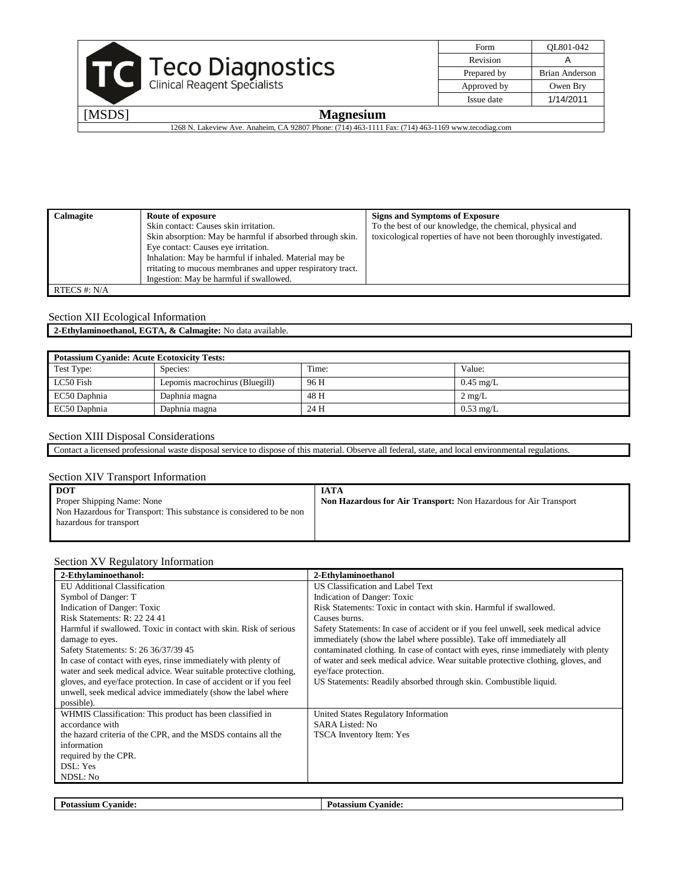

| Form        | OL801-042      |
|-------------|----------------|
| Revision    |                |
| Prepared by | Brian Anderson |
| Approved by | Owen Bry       |
| Issue date  | 1/14/2011      |

1268 N. Lakeview Ave. Anaheim, CA 92807 Phone: (714) 463-1111 Fax: (714) 463-1169 www.tecodiag.com

| <b>Calmagite</b> | Route of exposure                                          | <b>Signs and Symptoms of Exposure</b>                             |
|------------------|------------------------------------------------------------|-------------------------------------------------------------------|
|                  | Skin contact: Causes skin irritation.                      | To the best of our knowledge, the chemical, physical and          |
|                  | Skin absorption: May be harmful if absorbed through skin.  | toxicological roperties of have not been thoroughly investigated. |
|                  | Eye contact: Causes eye irritation.                        |                                                                   |
|                  | Inhalation: May be harmful if inhaled. Material may be     |                                                                   |
|                  | rritating to mucous membranes and upper respiratory tract. |                                                                   |
|                  | Ingestion: May be harmful if swallowed.                    |                                                                   |
| RTECS #: $N/A$   |                                                            |                                                                   |

### Section XII Ecological Information

**2-Ethylaminoethanol, EGTA, & Calmagite:** No data available.

| <b>Potassium Cyanide: Acute Ecotoxicity Tests:</b> |                                |       |                     |  |
|----------------------------------------------------|--------------------------------|-------|---------------------|--|
| Test Type:                                         | Species:                       | Time: | Value:              |  |
| LC50 Fish                                          | Lepomis macrochirus (Bluegill) | 96 H  | $0.45 \text{ mg/L}$ |  |
| EC50 Daphnia                                       | Daphnia magna                  | 48 H  | $2 \text{ mg/L}$    |  |
| EC50 Daphnia                                       | Daphnia magna                  | 24 H  | $0.53 \text{ mg/L}$ |  |

### Section XIII Disposal Considerations

Contact a licensed professional waste disposal service to dispose of this material. Observe all federal, state, and local environmental regulations.

#### Section XIV Transport Information

| DOT                                                                 | <b>IATA</b>                                                      |
|---------------------------------------------------------------------|------------------------------------------------------------------|
| Proper Shipping Name: None                                          | Non Hazardous for Air Transport: Non Hazardous for Air Transport |
| Non Hazardous for Transport: This substance is considered to be non |                                                                  |
| hazardous for transport                                             |                                                                  |
|                                                                     |                                                                  |

#### Section XV Regulatory Information

| 2-Ethylaminoethanol:                                                | 2-Ethylaminoethanol                                                                |
|---------------------------------------------------------------------|------------------------------------------------------------------------------------|
| <b>EU</b> Additional Classification                                 | US Classification and Label Text                                                   |
| Symbol of Danger: T                                                 | Indication of Danger: Toxic                                                        |
| Indication of Danger: Toxic                                         | Risk Statements: Toxic in contact with skin. Harmful if swallowed.                 |
| Risk Statements: R: 22 24 41                                        | Causes burns.                                                                      |
| Harmful if swallowed. Toxic in contact with skin. Risk of serious   | Safety Statements: In case of accident or if you feel unwell, seek medical advice  |
| damage to eyes.                                                     | immediately (show the label where possible). Take off immediately all              |
| Safety Statements: S: 26 36/37/39 45                                | contaminated clothing. In case of contact with eyes, rinse immediately with plenty |
| In case of contact with eyes, rinse immediately with plenty of      | of water and seek medical advice. Wear suitable protective clothing, gloves, and   |
| water and seek medical advice. Wear suitable protective clothing,   | eye/face protection.                                                               |
| gloves, and eye/face protection. In case of accident or if you feel | US Statements: Readily absorbed through skin. Combustible liquid.                  |
| unwell, seek medical advice immediately (show the label where       |                                                                                    |
| possible).                                                          |                                                                                    |
| WHMIS Classification: This product has been classified in           | United States Regulatory Information                                               |
| accordance with                                                     | SARA Listed: No.                                                                   |
| the hazard criteria of the CPR, and the MSDS contains all the       | TSCA Inventory Item: Yes                                                           |
| information                                                         |                                                                                    |
| required by the CPR.                                                |                                                                                    |
| DSL: Yes                                                            |                                                                                    |
| NDSL: No                                                            |                                                                                    |
|                                                                     |                                                                                    |